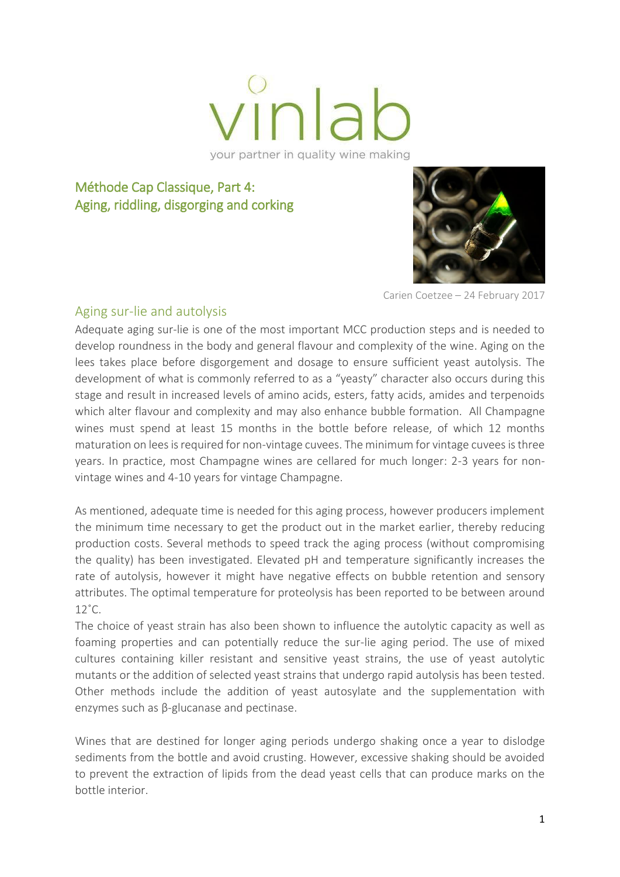

your partner in quality wine making

# Méthode Cap Classique, Part 4: Aging, riddling, disgorging and corking



Carien Coetzee – 24 February 2017

#### Aging sur-lie and autolysis

Adequate aging sur-lie is one of the most important MCC production steps and is needed to develop roundness in the body and general flavour and complexity of the wine. Aging on the lees takes place before disgorgement and dosage to ensure sufficient yeast autolysis. The development of what is commonly referred to as a "yeasty" character also occurs during this stage and result in increased levels of amino acids, esters, fatty acids, amides and terpenoids which alter flavour and complexity and may also enhance bubble formation. All Champagne wines must spend at least 15 months in the bottle before release, of which 12 months maturation on lees is required for non-vintage cuvees. The minimum for vintage cuvees is three years. In practice, most Champagne wines are cellared for much longer: 2-3 years for nonvintage wines and 4-10 years for vintage Champagne.

As mentioned, adequate time is needed for this aging process, however producers implement the minimum time necessary to get the product out in the market earlier, thereby reducing production costs. Several methods to speed track the aging process (without compromising the quality) has been investigated. Elevated pH and temperature significantly increases the rate of autolysis, however it might have negative effects on bubble retention and sensory attributes. The optimal temperature for proteolysis has been reported to be between around  $12^{\circ}$ C.

The choice of yeast strain has also been shown to influence the autolytic capacity as well as foaming properties and can potentially reduce the sur-lie aging period. The use of mixed cultures containing killer resistant and sensitive yeast strains, the use of yeast autolytic mutants or the addition of selected yeast strains that undergo rapid autolysis has been tested. Other methods include the addition of yeast autosylate and the supplementation with enzymes such as β-glucanase and pectinase.

Wines that are destined for longer aging periods undergo shaking once a year to dislodge sediments from the bottle and avoid crusting. However, excessive shaking should be avoided to prevent the extraction of lipids from the dead yeast cells that can produce marks on the bottle interior.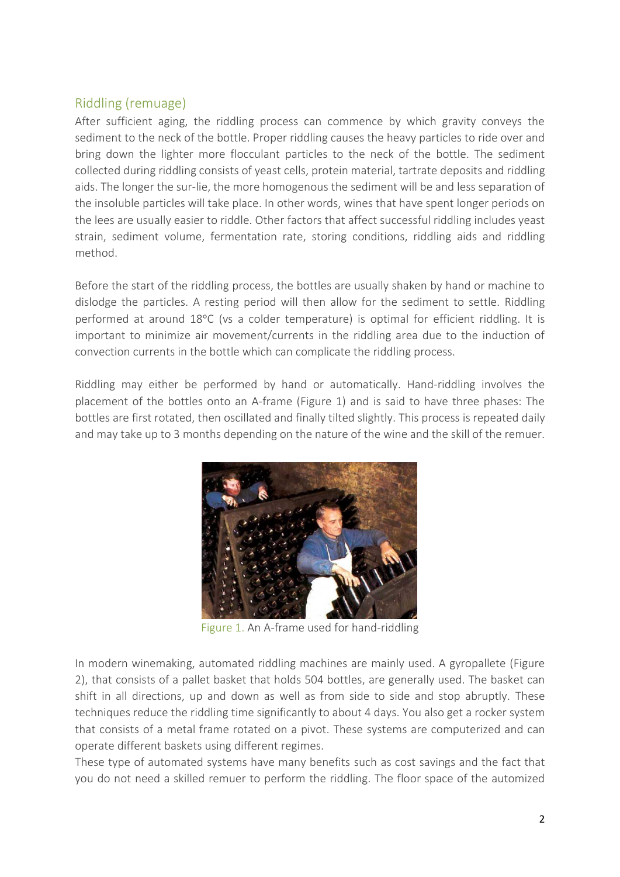### Riddling (remuage)

After sufficient aging, the riddling process can commence by which gravity conveys the sediment to the neck of the bottle. Proper riddling causes the heavy particles to ride over and bring down the lighter more flocculant particles to the neck of the bottle. The sediment collected during riddling consists of yeast cells, protein material, tartrate deposits and riddling aids. The longer the sur-lie, the more homogenous the sediment will be and less separation of the insoluble particles will take place. In other words, wines that have spent longer periods on the lees are usually easier to riddle. Other factors that affect successful riddling includes yeast strain, sediment volume, fermentation rate, storing conditions, riddling aids and riddling method.

Before the start of the riddling process, the bottles are usually shaken by hand or machine to dislodge the particles. A resting period will then allow for the sediment to settle. Riddling performed at around 18°C (vs a colder temperature) is optimal for efficient riddling. It is important to minimize air movement/currents in the riddling area due to the induction of convection currents in the bottle which can complicate the riddling process.

Riddling may either be performed by hand or automatically. Hand-riddling involves the placement of the bottles onto an A-frame (Figure 1) and is said to have three phases: The bottles are first rotated, then oscillated and finally tilted slightly. This process is repeated daily and may take up to 3 months depending on the nature of the wine and the skill of the remuer.



Figure 1. An A-frame used for hand-riddling

In modern winemaking, automated riddling machines are mainly used. A gyropallete (Figure 2), that consists of a pallet basket that holds 504 bottles, are generally used. The basket can shift in all directions, up and down as well as from side to side and stop abruptly. These techniques reduce the riddling time significantly to about 4 days. You also get a rocker system that consists of a metal frame rotated on a pivot. These systems are computerized and can operate different baskets using different regimes.

These type of automated systems have many benefits such as cost savings and the fact that you do not need a skilled remuer to perform the riddling. The floor space of the automized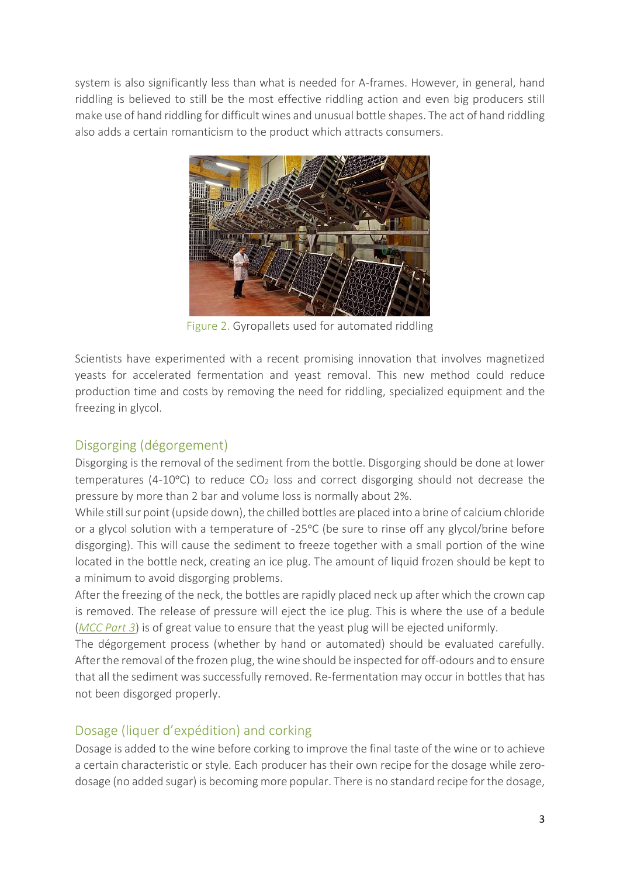system is also significantly less than what is needed for A-frames. However, in general, hand riddling is believed to still be the most effective riddling action and even big producers still make use of hand riddling for difficult wines and unusual bottle shapes. The act of hand riddling also adds a certain romanticism to the product which attracts consumers.



Figure 2. Gyropallets used for automated riddling

Scientists have experimented with a recent promising innovation that involves magnetized yeasts for accelerated fermentation and yeast removal. This new method could reduce production time and costs by removing the need for riddling, specialized equipment and the freezing in glycol.

## Disgorging (dégorgement)

Disgorging is the removal of the sediment from the bottle. Disgorging should be done at lower temperatures (4-10 $^{\circ}$ C) to reduce CO<sub>2</sub> loss and correct disgorging should not decrease the pressure by more than 2 bar and volume loss is normally about 2%.

While still sur point (upside down), the chilled bottles are placed into a brine of calcium chloride or a glycol solution with a temperature of -25°C (be sure to rinse off any glycol/brine before disgorging). This will cause the sediment to freeze together with a small portion of the wine located in the bottle neck, creating an ice plug. The amount of liquid frozen should be kept to a minimum to avoid disgorging problems.

After the freezing of the neck, the bottles are rapidly placed neck up after which the crown cap is removed. The release of pressure will eject the ice plug. This is where the use of a bedule (*[MCC Part 3](http://vinlab.com/methode-cap-classique-part-3-from-the-end-of-primary-fermentation-to-preparation-and-commence-of-secondary-fermentation/)*) is of great value to ensure that the yeast plug will be ejected uniformly.

The dégorgement process (whether by hand or automated) should be evaluated carefully. After the removal of the frozen plug, the wine should be inspected for off-odours and to ensure that all the sediment was successfully removed. Re-fermentation may occur in bottles that has not been disgorged properly.

### Dosage (liquer d'expédition) and corking

Dosage is added to the wine before corking to improve the final taste of the wine or to achieve a certain characteristic or style. Each producer has their own recipe for the dosage while zerodosage (no added sugar) is becoming more popular. There is no standard recipe for the dosage,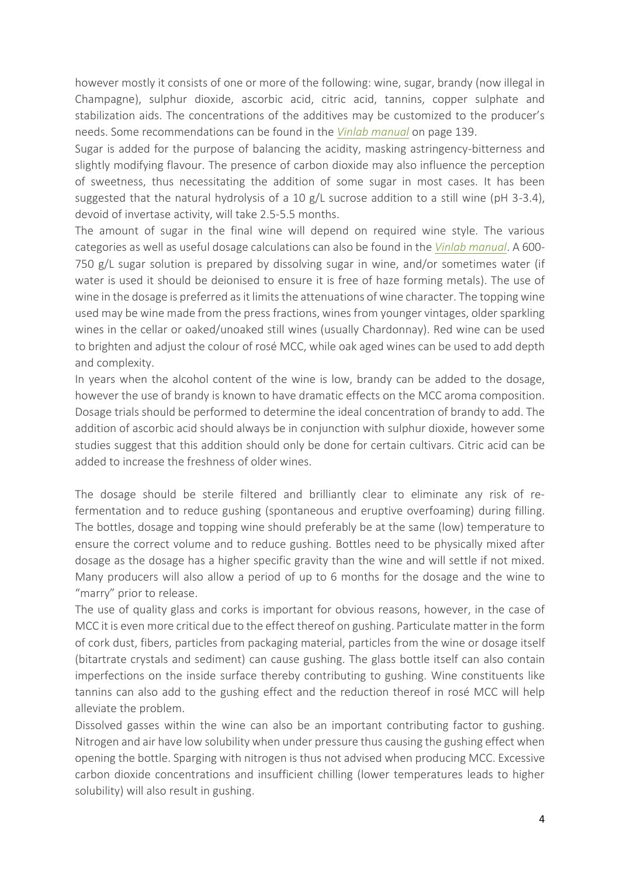however mostly it consists of one or more of the following: wine, sugar, brandy (now illegal in Champagne), sulphur dioxide, ascorbic acid, citric acid, tannins, copper sulphate and stabilization aids. The concentrations of the additives may be customized to the producer's needs. Some recommendations can be found in the *[Vinlab manual](https://payhip.com/vinlab)* on page 139.

Sugar is added for the purpose of balancing the acidity, masking astringency-bitterness and slightly modifying flavour. The presence of carbon dioxide may also influence the perception of sweetness, thus necessitating the addition of some sugar in most cases. It has been suggested that the natural hydrolysis of a 10 g/L sucrose addition to a still wine (pH 3-3.4), devoid of invertase activity, will take 2.5-5.5 months.

The amount of sugar in the final wine will depend on required wine style. The various categories as well as useful dosage calculations can also be found in the *[Vinlab manual](https://payhip.com/vinlab)*. A 600- 750 g/L sugar solution is prepared by dissolving sugar in wine, and/or sometimes water (if water is used it should be deionised to ensure it is free of haze forming metals). The use of wine in the dosage is preferred as it limits the attenuations of wine character. The topping wine used may be wine made from the press fractions, wines from younger vintages, older sparkling wines in the cellar or oaked/unoaked still wines (usually Chardonnay). Red wine can be used to brighten and adjust the colour of rosé MCC, while oak aged wines can be used to add depth and complexity.

In years when the alcohol content of the wine is low, brandy can be added to the dosage, however the use of brandy is known to have dramatic effects on the MCC aroma composition. Dosage trials should be performed to determine the ideal concentration of brandy to add. The addition of ascorbic acid should always be in conjunction with sulphur dioxide, however some studies suggest that this addition should only be done for certain cultivars. Citric acid can be added to increase the freshness of older wines.

The dosage should be sterile filtered and brilliantly clear to eliminate any risk of refermentation and to reduce gushing (spontaneous and eruptive overfoaming) during filling. The bottles, dosage and topping wine should preferably be at the same (low) temperature to ensure the correct volume and to reduce gushing. Bottles need to be physically mixed after dosage as the dosage has a higher specific gravity than the wine and will settle if not mixed. Many producers will also allow a period of up to 6 months for the dosage and the wine to "marry" prior to release.

The use of quality glass and corks is important for obvious reasons, however, in the case of MCC it is even more critical due to the effect thereof on gushing. Particulate matter in the form of cork dust, fibers, particles from packaging material, particles from the wine or dosage itself (bitartrate crystals and sediment) can cause gushing. The glass bottle itself can also contain imperfections on the inside surface thereby contributing to gushing. Wine constituents like tannins can also add to the gushing effect and the reduction thereof in rosé MCC will help alleviate the problem.

Dissolved gasses within the wine can also be an important contributing factor to gushing. Nitrogen and air have low solubility when under pressure thus causing the gushing effect when opening the bottle. Sparging with nitrogen is thus not advised when producing MCC. Excessive carbon dioxide concentrations and insufficient chilling (lower temperatures leads to higher solubility) will also result in gushing.